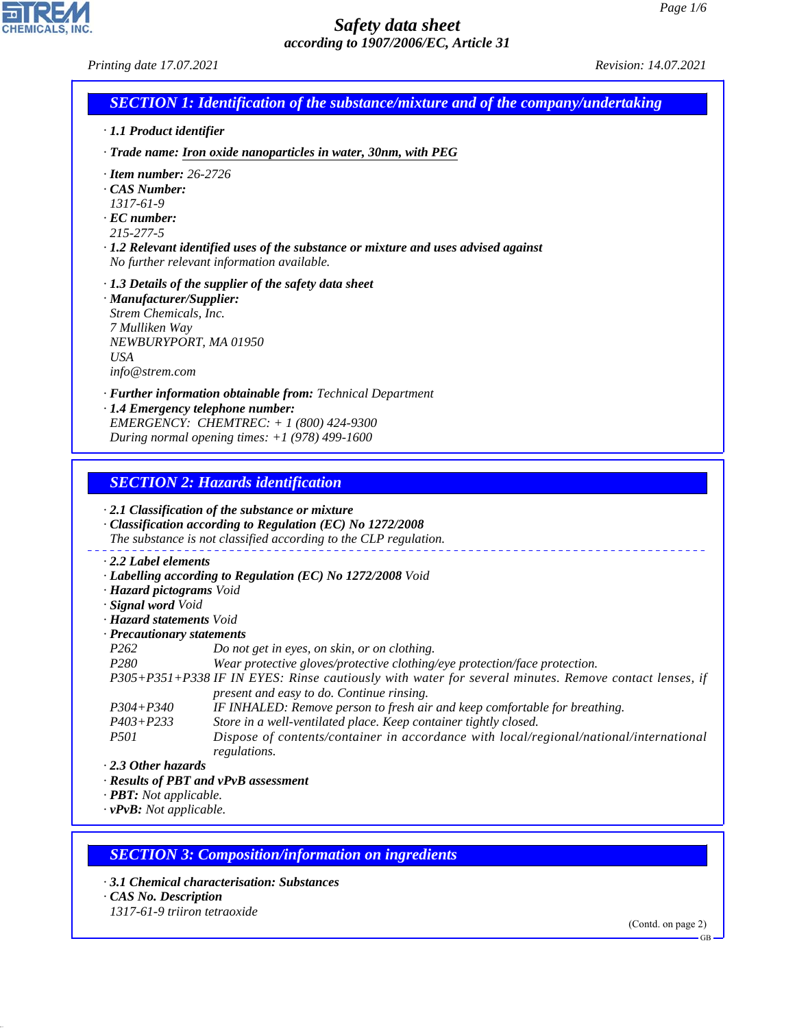| Printing date 17.07.2021                                                                                                                                                                                                                     | Revision: 14.07.2021 |
|----------------------------------------------------------------------------------------------------------------------------------------------------------------------------------------------------------------------------------------------|----------------------|
| <b>SECTION 1: Identification of the substance/mixture and of the company/undertaking</b>                                                                                                                                                     |                      |
| · 1.1 Product identifier                                                                                                                                                                                                                     |                      |
| · Trade name: Iron oxide nanoparticles in water, 30nm, with PEG                                                                                                                                                                              |                      |
| $\cdot$ Item number: 26-2726<br>CAS Number:<br>$1317 - 61 - 9$<br>$\cdot$ EC number:<br>215-277-5<br>$\cdot$ 1.2 Relevant identified uses of the substance or mixture and uses advised against<br>No further relevant information available. |                      |
| $\cdot$ 1.3 Details of the supplier of the safety data sheet<br>· Manufacturer/Supplier:<br>Strem Chemicals, Inc.<br>7 Mulliken Way<br>NEWBURYPORT, MA 01950<br><b>USA</b><br>info@strem.com                                                 |                      |
| · Further information obtainable from: Technical Department<br>· 1.4 Emergency telephone number:<br>EMERGENCY: CHEMTREC: $+ 1 (800) 424 - 9300$<br>During normal opening times: $+1$ (978) 499-1600                                          |                      |
| <b>SECTION 2: Hazards identification</b>                                                                                                                                                                                                     |                      |
| $\cdot$ 2.1 Classification of the substance or mixture<br>· Classification according to Regulation (EC) No 1272/2008<br>The substance is not classified according to the CLP regulation.                                                     |                      |
| $\cdot$ 2.2 Label elements<br>· Labelling according to Regulation (EC) No 1272/2008 Void<br>· Hazard pictograms Void<br>· Signal word Void                                                                                                   |                      |

*· Hazard statements Void*

*· Precautionary statements P262 Do not get in eyes, on skin, or on clothing. Wear protective gloves/protective clothing/eye protection/face protection. P305+P351+P338 IF IN EYES: Rinse cautiously with water for several minutes. Remove contact lenses, if present and easy to do. Continue rinsing.*

*P304+P340 IF INHALED: Remove person to fresh air and keep comfortable for breathing. P403+P233 Store in a well-ventilated place. Keep container tightly closed. P501 Dispose of contents/container in accordance with local/regional/national/international regulations.*

*· 2.3 Other hazards*

*· Results of PBT and vPvB assessment*

*· PBT: Not applicable.*

*· vPvB: Not applicable.*

#### *SECTION 3: Composition/information on ingredients*

- *· 3.1 Chemical characterisation: Substances*
- *· CAS No. Description*

44.1.1

**CHEMICALS, INC** 

*1317-61-9 triiron tetraoxide*

(Contd. on page 2)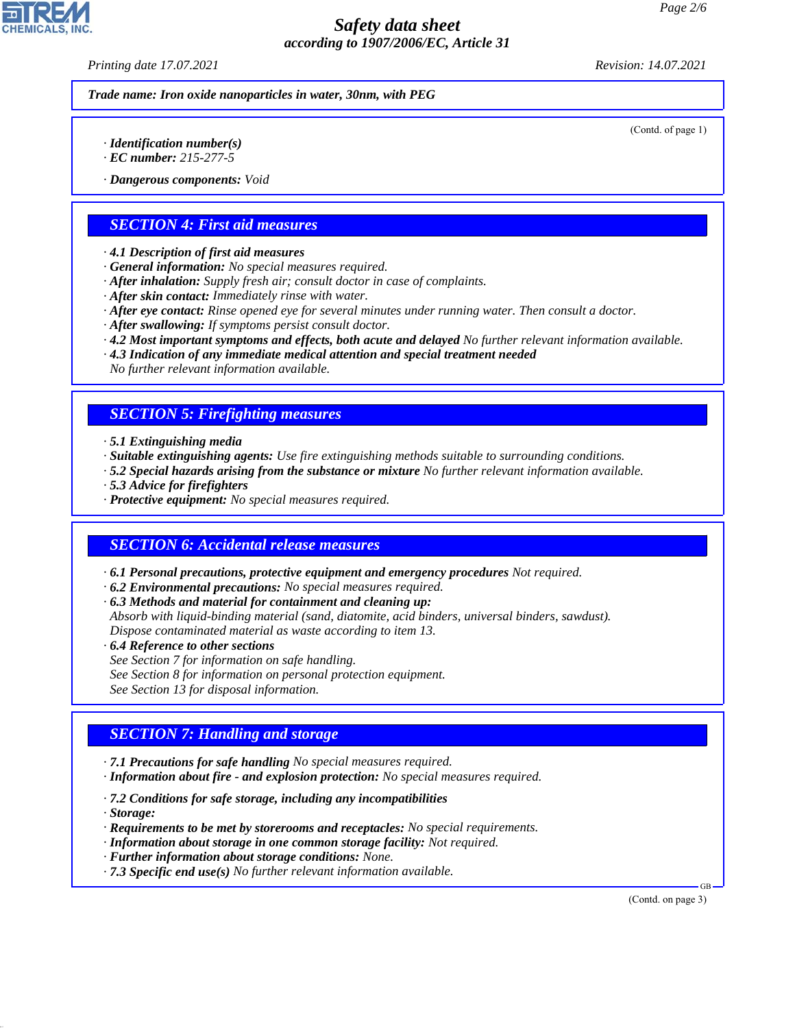*Printing date 17.07.2021 Revision: 14.07.2021*

*Trade name: Iron oxide nanoparticles in water, 30nm, with PEG*

(Contd. of page 1)

- *· Identification number(s)*
- *· EC number: 215-277-5*
- *· Dangerous components: Void*

## *SECTION 4: First aid measures*

- *· 4.1 Description of first aid measures*
- *· General information: No special measures required.*
- *· After inhalation: Supply fresh air; consult doctor in case of complaints.*
- *· After skin contact: Immediately rinse with water.*
- *· After eye contact: Rinse opened eye for several minutes under running water. Then consult a doctor.*
- *· After swallowing: If symptoms persist consult doctor.*
- *· 4.2 Most important symptoms and effects, both acute and delayed No further relevant information available.*
- *· 4.3 Indication of any immediate medical attention and special treatment needed*

*No further relevant information available.*

### *SECTION 5: Firefighting measures*

- *· 5.1 Extinguishing media*
- *· Suitable extinguishing agents: Use fire extinguishing methods suitable to surrounding conditions.*
- *· 5.2 Special hazards arising from the substance or mixture No further relevant information available.*
- *· 5.3 Advice for firefighters*
- *· Protective equipment: No special measures required.*

#### *SECTION 6: Accidental release measures*

- *· 6.1 Personal precautions, protective equipment and emergency procedures Not required.*
- *· 6.2 Environmental precautions: No special measures required.*
- *· 6.3 Methods and material for containment and cleaning up:*
- *Absorb with liquid-binding material (sand, diatomite, acid binders, universal binders, sawdust). Dispose contaminated material as waste according to item 13.*
- *· 6.4 Reference to other sections*
- *See Section 7 for information on safe handling.*
- *See Section 8 for information on personal protection equipment.*
- *See Section 13 for disposal information.*

# *SECTION 7: Handling and storage*

- *· 7.1 Precautions for safe handling No special measures required.*
- *· Information about fire and explosion protection: No special measures required.*
- *· 7.2 Conditions for safe storage, including any incompatibilities*
- *· Storage:*

44.1.1

- *· Requirements to be met by storerooms and receptacles: No special requirements.*
- *· Information about storage in one common storage facility: Not required.*
- *· Further information about storage conditions: None.*
- *· 7.3 Specific end use(s) No further relevant information available.*

(Contd. on page 3)

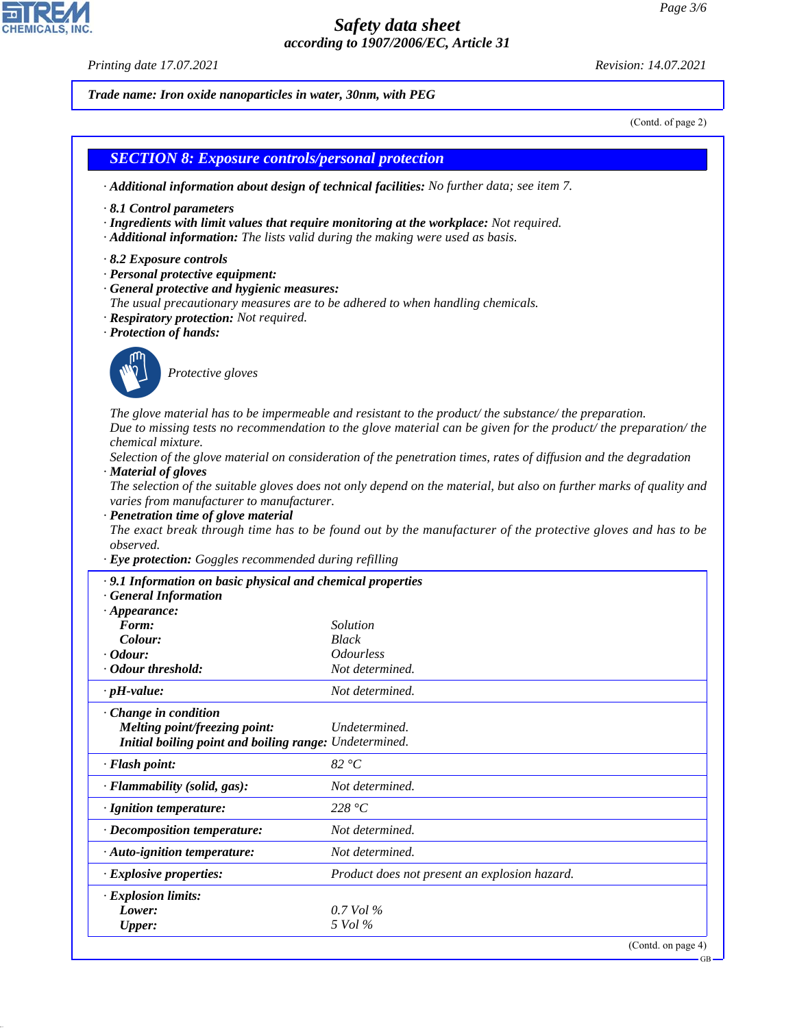*Printing date 17.07.2021 Revision: 14.07.2021*

44.1.1

*Trade name: Iron oxide nanoparticles in water, 30nm, with PEG*

(Contd. of page 2)

# *SECTION 8: Exposure controls/personal protection · Additional information about design of technical facilities: No further data; see item 7. · 8.1 Control parameters · Ingredients with limit values that require monitoring at the workplace: Not required. · Additional information: The lists valid during the making were used as basis. · 8.2 Exposure controls · Personal protective equipment: · General protective and hygienic measures: The usual precautionary measures are to be adhered to when handling chemicals. · Respiratory protection: Not required. · Protection of hands:* \_S*Protective gloves The glove material has to be impermeable and resistant to the product/ the substance/ the preparation. Due to missing tests no recommendation to the glove material can be given for the product/ the preparation/ the chemical mixture. Selection of the glove material on consideration of the penetration times, rates of diffusion and the degradation · Material of gloves The selection of the suitable gloves does not only depend on the material, but also on further marks of quality and varies from manufacturer to manufacturer. · Penetration time of glove material The exact break through time has to be found out by the manufacturer of the protective gloves and has to be observed. · Eye protection: Goggles recommended during refilling · 9.1 Information on basic physical and chemical properties · General Information · Appearance: Form: Solution Colour: Black · Odour: Odourless · Odour threshold: Not determined. · pH-value: Not determined. · Change in condition Melting point/freezing point: Undetermined. Initial boiling point and boiling range: Undetermined. · Flash point: 82 °C · Flammability (solid, gas): Not determined. · Ignition temperature: 228 °C · Decomposition temperature: Not determined. · Auto-ignition temperature: Not determined. · Explosive properties: Product does not present an explosion hazard. · Explosion limits: Lower: 0.7 Vol % Upper: 5 Vol %* (Contd. on page 4) GB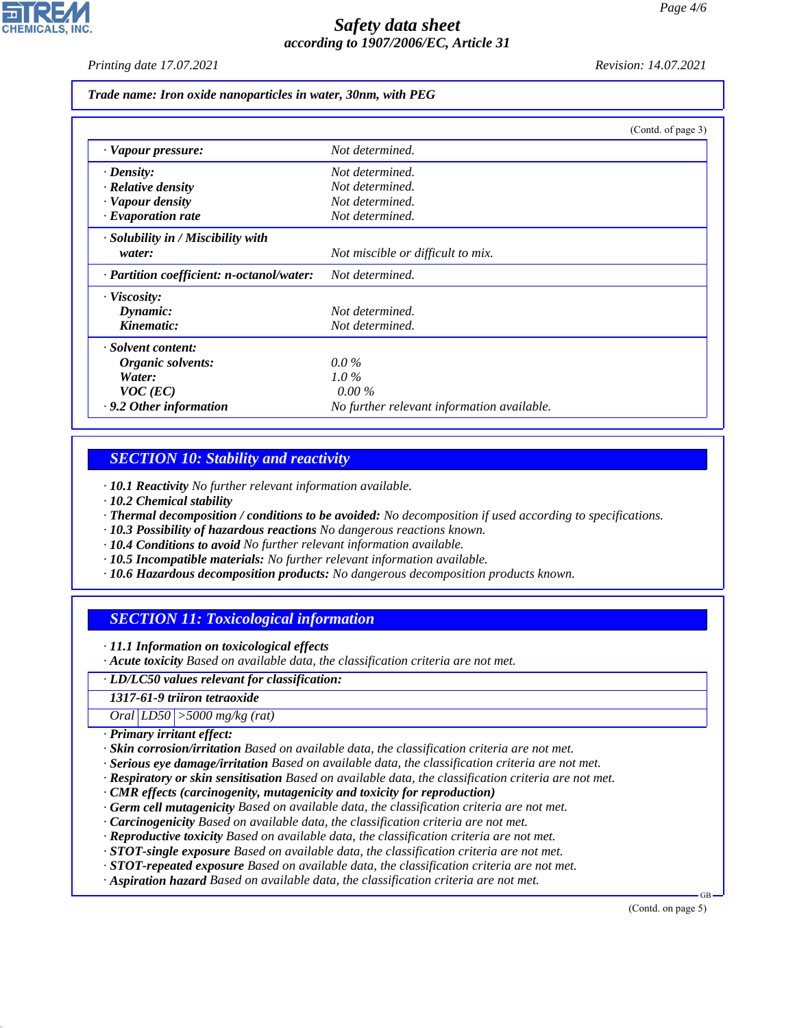*Printing date 17.07.2021 Revision: 14.07.2021*

*Trade name: Iron oxide nanoparticles in water, 30nm, with PEG*

|                                           | (Contd. of page 3)                         |
|-------------------------------------------|--------------------------------------------|
| · Vapour pressure:                        | Not determined.                            |
| $\cdot$ Density:                          | Not determined.                            |
| $\cdot$ Relative density                  | Not determined.                            |
| · Vapour density                          | Not determined.                            |
| $\cdot$ Evaporation rate                  | Not determined.                            |
| · Solubility in / Miscibility with        |                                            |
| water:                                    | Not miscible or difficult to mix.          |
| · Partition coefficient: n-octanol/water: | Not determined.                            |
| $\cdot$ Viscosity:                        |                                            |
| Dynamic:                                  | Not determined.                            |
| Kinematic:                                | Not determined.                            |
| · Solvent content:                        |                                            |
| Organic solvents:                         | $0.0\%$                                    |
| Water:                                    | $1.0\%$                                    |
| $VOC$ (EC)                                | $0.00\%$                                   |
| . 9.2 Other information                   | No further relevant information available. |

#### *SECTION 10: Stability and reactivity*

*· 10.1 Reactivity No further relevant information available.*

- *· 10.2 Chemical stability*
- *· Thermal decomposition / conditions to be avoided: No decomposition if used according to specifications.*
- *· 10.3 Possibility of hazardous reactions No dangerous reactions known.*
- *· 10.4 Conditions to avoid No further relevant information available.*
- *· 10.5 Incompatible materials: No further relevant information available.*
- *· 10.6 Hazardous decomposition products: No dangerous decomposition products known.*

### *SECTION 11: Toxicological information*

*· 11.1 Information on toxicological effects*

*· Acute toxicity Based on available data, the classification criteria are not met.*

*· LD/LC50 values relevant for classification:*

*1317-61-9 triiron tetraoxide*

*Oral LD50 >5000 mg/kg (rat)*

*· Primary irritant effect:*

44.1.1

- *· Skin corrosion/irritation Based on available data, the classification criteria are not met.*
- *· Serious eye damage/irritation Based on available data, the classification criteria are not met.*
- *· Respiratory or skin sensitisation Based on available data, the classification criteria are not met.*
- *· CMR effects (carcinogenity, mutagenicity and toxicity for reproduction)*
- *· Germ cell mutagenicity Based on available data, the classification criteria are not met.*
- *· Carcinogenicity Based on available data, the classification criteria are not met.*
- *· Reproductive toxicity Based on available data, the classification criteria are not met.*
- *· STOT-single exposure Based on available data, the classification criteria are not met.*
- *· STOT-repeated exposure Based on available data, the classification criteria are not met.*
- *· Aspiration hazard Based on available data, the classification criteria are not met.*

(Contd. on page 5)

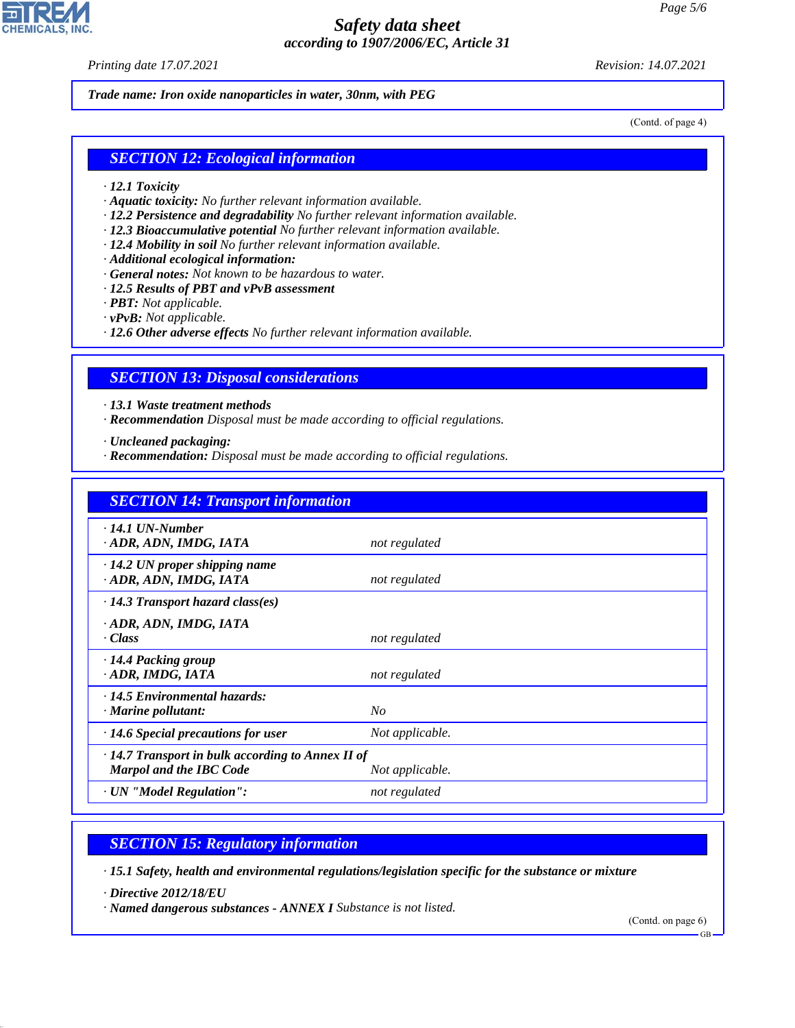*Printing date 17.07.2021 Revision: 14.07.2021*

**CHEMICALS, INC** 

*Trade name: Iron oxide nanoparticles in water, 30nm, with PEG*

(Contd. of page 4)

#### *SECTION 12: Ecological information*

- *· 12.1 Toxicity*
- *· Aquatic toxicity: No further relevant information available.*
- *· 12.2 Persistence and degradability No further relevant information available.*
- *· 12.3 Bioaccumulative potential No further relevant information available.*
- *· 12.4 Mobility in soil No further relevant information available.*
- *· Additional ecological information:*
- *· General notes: Not known to be hazardous to water.*
- *· 12.5 Results of PBT and vPvB assessment*
- *· PBT: Not applicable.*
- *· vPvB: Not applicable.*
- *· 12.6 Other adverse effects No further relevant information available.*

#### *SECTION 13: Disposal considerations*

*· 13.1 Waste treatment methods*

*· Recommendation Disposal must be made according to official regulations.*

*· Uncleaned packaging:*

*· Recommendation: Disposal must be made according to official regulations.*

| <b>SECTION 14: Transport information</b>                                                  |                 |  |
|-------------------------------------------------------------------------------------------|-----------------|--|
| $\cdot$ 14.1 UN-Number<br>· ADR, ADN, IMDG, IATA                                          | not regulated   |  |
| $\cdot$ 14.2 UN proper shipping name<br>· ADR, ADN, IMDG, IATA                            | not regulated   |  |
| $\cdot$ 14.3 Transport hazard class(es)                                                   |                 |  |
| · ADR, ADN, IMDG, IATA<br>· Class                                                         | not regulated   |  |
| $\cdot$ 14.4 Packing group<br>· ADR, IMDG, IATA                                           | not regulated   |  |
| · 14.5 Environmental hazards:<br>$\cdot$ Marine pollutant:                                | No              |  |
| $\cdot$ 14.6 Special precautions for user                                                 | Not applicable. |  |
| $\cdot$ 14.7 Transport in bulk according to Annex II of<br><b>Marpol and the IBC Code</b> | Not applicable. |  |
| · UN "Model Regulation":                                                                  | not regulated   |  |

# *SECTION 15: Regulatory information*

*· 15.1 Safety, health and environmental regulations/legislation specific for the substance or mixture*

*· Directive 2012/18/EU*

44.1.1

*· Named dangerous substances - ANNEX I Substance is not listed.*

(Contd. on page 6)

GB